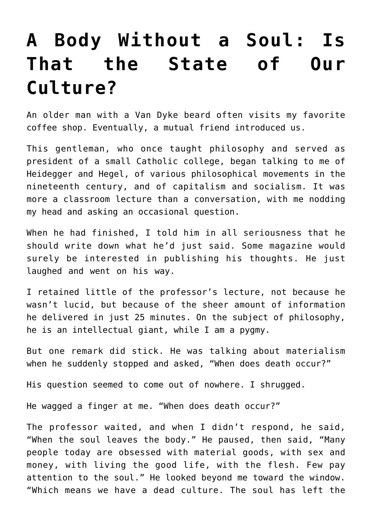## **[A Body Without a Soul: Is](https://intellectualtakeout.org/2020/03/a-body-without-a-soul-is-that-the-state-of-our-culture/) [That the State of Our](https://intellectualtakeout.org/2020/03/a-body-without-a-soul-is-that-the-state-of-our-culture/) [Culture?](https://intellectualtakeout.org/2020/03/a-body-without-a-soul-is-that-the-state-of-our-culture/)**

An older man with a Van Dyke beard often visits my favorite coffee shop. Eventually, a mutual friend introduced us.

This gentleman, who once taught philosophy and served as president of a small Catholic college, began talking to me of Heidegger and Hegel, of various philosophical movements in the nineteenth century, and of capitalism and socialism. It was more a classroom lecture than a conversation, with me nodding my head and asking an occasional question.

When he had finished, I told him in all seriousness that he should write down what he'd just said. Some magazine would surely be interested in publishing his thoughts. He just laughed and went on his way.

I retained little of the professor's lecture, not because he wasn't lucid, but because of the sheer amount of information he delivered in just 25 minutes. On the subject of philosophy, he is an intellectual giant, while I am a pygmy.

But one remark did stick. He was talking about materialism when he suddenly stopped and asked, "When does death occur?"

His question seemed to come out of nowhere. I shrugged.

He wagged a finger at me. "When does death occur?"

The professor waited, and when I didn't respond, he said, "When the soul leaves the body." He paused, then said, "Many people today are obsessed with material goods, with sex and money, with living the good life, with the flesh. Few pay attention to the soul." He looked beyond me toward the window. "Which means we have a dead culture. The soul has left the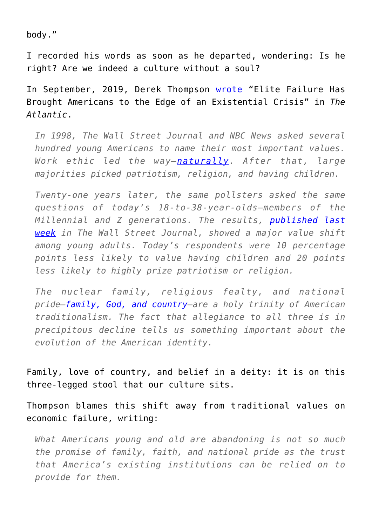body."

I recorded his words as soon as he departed, wondering: Is he right? Are we indeed a culture without a soul?

In September, 2019, Derek Thompson [wrote](https://www.theatlantic.com/ideas/archive/2019/09/america-without-family-god-or-patriotism/597382/) "Elite Failure Has Brought Americans to the Edge of an Existential Crisis" in *The Atlantic*.

*In 1998, The Wall Street Journal and NBC News asked several hundred young Americans to name their most important values. Work ethic led the way—[naturally](https://www.theatlantic.com/ideas/archive/2019/02/religion-workism-making-americans-miserable/583441/). After that, large majorities picked patriotism, religion, and having children.*

*Twenty-one years later, the same pollsters asked the same questions of today's 18-to-38-year-olds—members of the Millennial and Z generations. The results, [published last](https://www.wsj.com/articles/americans-have-shifted-dramatically-on-what-values-matter-most-11566738001) [week](https://www.wsj.com/articles/americans-have-shifted-dramatically-on-what-values-matter-most-11566738001) in The Wall Street Journal, showed a major value shift among young adults. Today's respondents were 10 percentage points less likely to value having children and 20 points less likely to highly prize patriotism or religion.*

*The nuclear family, religious fealty, and national pride—[family, God, and country](https://www.washingtonpost.com/national/religion/americans-dont-cite-god-family-country-quite-like-the-cliche-goes/2015/03/20/bc3e0656-cf1b-11e4-8730-4f473416e759_story.html?utm_term=.97b9395e22de)—are a holy trinity of American traditionalism. The fact that allegiance to all three is in precipitous decline tells us something important about the evolution of the American identity.*

Family, love of country, and belief in a deity: it is on this three-legged stool that our culture sits.

Thompson blames this shift away from traditional values on economic failure, writing:

*What Americans young and old are abandoning is not so much the promise of family, faith, and national pride as the trust that America's existing institutions can be relied on to provide for them.*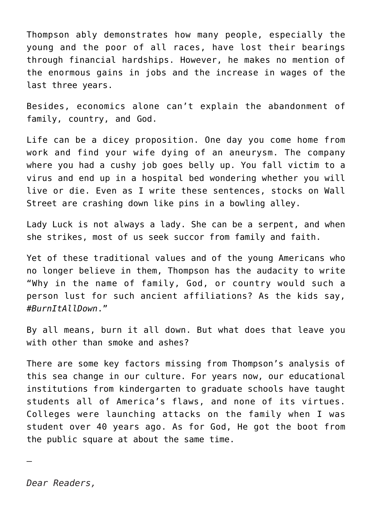Thompson ably demonstrates how many people, especially the young and the poor of all races, have lost their bearings through financial hardships. However, he makes no mention of the enormous gains in jobs and the increase in wages of the last three years.

Besides, economics alone can't explain the abandonment of family, country, and God.

Life can be a dicey proposition. One day you come home from work and find your wife dying of an aneurysm. The company where you had a cushy job goes belly up. You fall victim to a virus and end up in a hospital bed wondering whether you will live or die. Even as I write these sentences, stocks on Wall Street are crashing down like pins in a bowling alley.

Lady Luck is not always a lady. She can be a serpent, and when she strikes, most of us seek succor from family and faith.

Yet of these traditional values and of the young Americans who no longer believe in them, Thompson has the audacity to write "Why in the name of family, God, or country would such a person lust for such ancient affiliations? As the kids say, *#BurnItAllDown*."

By all means, burn it all down. But what does that leave you with other than smoke and ashes?

There are some key factors missing from Thompson's analysis of this sea change in our culture. For years now, our educational institutions from kindergarten to graduate schools have taught students all of America's flaws, and none of its virtues. Colleges were launching attacks on the family when I was student over 40 years ago. As for God, He got the boot from the public square at about the same time.

—

*Dear Readers,*